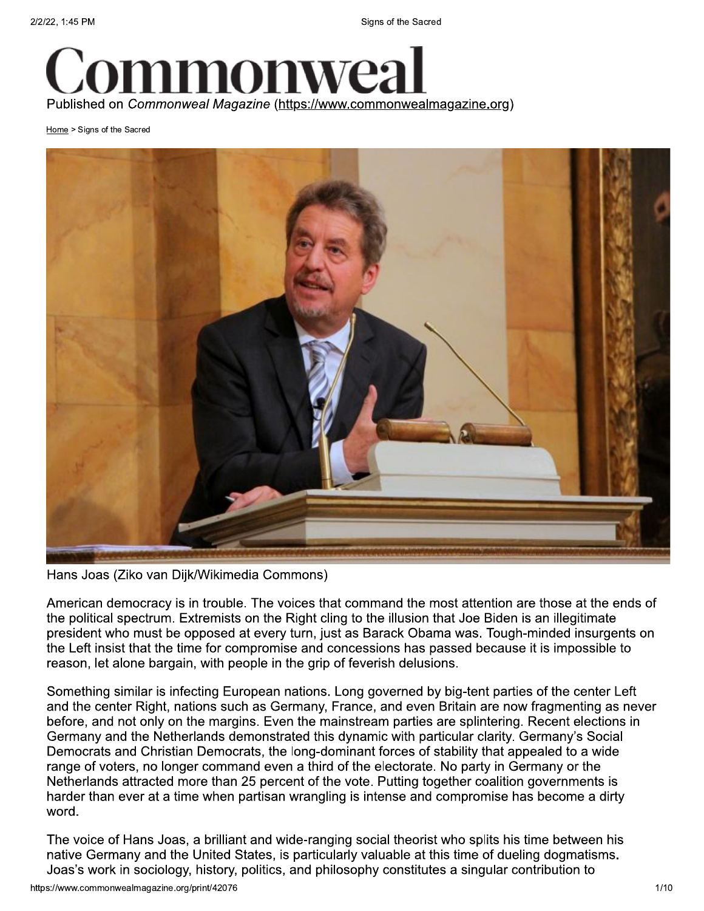

Home > Signs of the Sacred



Hans Joas (Ziko van Dijk/Wikimedia Commons)

American democracy is in trouble. The voices that command the most attention are those at the ends of the political spectrum. Extremists on the Right cling to the illusion that Joe Biden is an illegitimate president who must be opposed at every turn, just as Barack Obama was. Tough-minded insurgents on the Left insist that the time for compromise and concessions has passed because it is impossible to reason, let alone bargain, with people in the grip of feverish delusions.

Something similar is infecting European nations. Long governed by big-tent parties of the center Left and the center Right, nations such as Germany, France, and even Britain are now fragmenting as never before, and not only on the margins. Even the mainstream parties are splintering. Recent elections in Germany and the Netherlands demonstrated this dynamic with particular clarity. Germany's Social Democrats and Christian Democrats, the long-dominant forces of stability that appealed to a wide range of voters, no longer command even a third of the electorate. No party in Germany or the Netherlands attracted more than 25 percent of the vote. Putting together coalition governments is harder than ever at a time when partisan wrangling is intense and compromise has become a dirty word.

The voice of Hans Joas, a brilliant and wide-ranging social theorist who splits his time between his native Germany and the United States, is particularly valuable at this time of dueling dogmatisms. Joas's work in sociology, history, politics, and philosophy constitutes a singular contribution to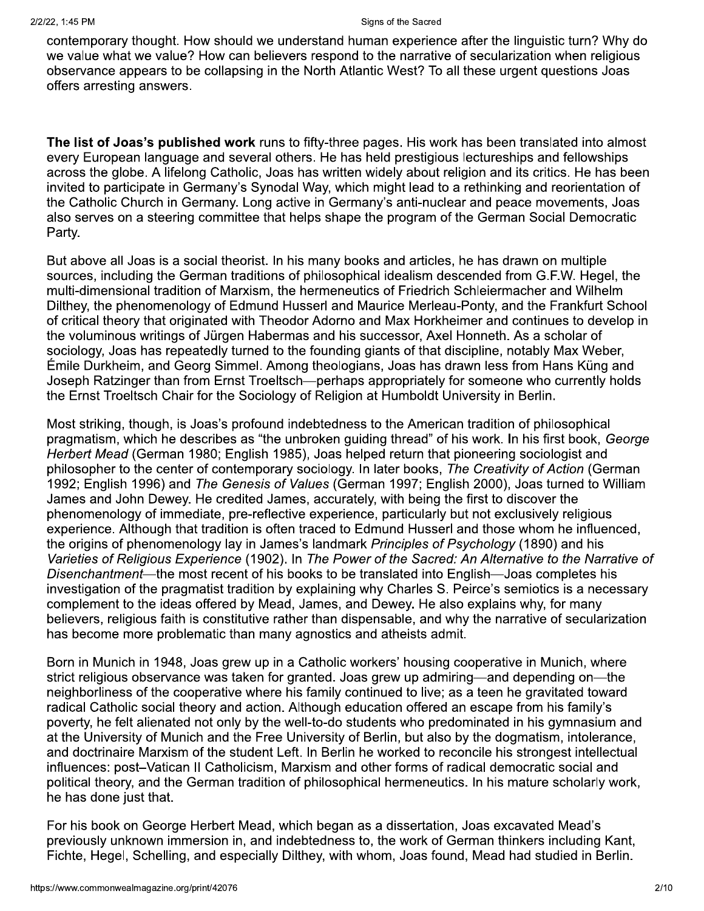contemporary thought. How should we understand human experience after the linguistic turn? Why do we value what we value? How can believers respond to the narrative of secularization when religious observance appears to be collapsing in the North Atlantic West? To all these urgent questions Joas offers arresting answers.

The list of Joas's published work runs to fifty-three pages. His work has been translated into almost every European language and several others. He has held prestigious lectureships and fellowships across the globe. A lifelong Catholic, Joas has written widely about religion and its critics. He has been invited to participate in Germany's Synodal Way, which might lead to a rethinking and reorientation of the Catholic Church in Germany. Long active in Germany's anti-nuclear and peace movements, Joas also serves on a steering committee that helps shape the program of the German Social Democratic Party.

But above all Joas is a social theorist. In his many books and articles, he has drawn on multiple sources, including the German traditions of philosophical idealism descended from G.F.W. Hegel, the multi-dimensional tradition of Marxism, the hermeneutics of Friedrich Schleiermacher and Wilhelm Dilthey, the phenomenology of Edmund Husserl and Maurice Merleau-Ponty, and the Frankfurt School of critical theory that originated with Theodor Adorno and Max Horkheimer and continues to develop in the voluminous writings of Jürgen Habermas and his successor, Axel Honneth. As a scholar of sociology, Joas has repeatedly turned to the founding giants of that discipline, notably Max Weber, Émile Durkheim, and Georg Simmel. Among theologians, Joas has drawn less from Hans Küng and Joseph Ratzinger than from Ernst Troeltsch—perhaps appropriately for someone who currently holds the Ernst Troeltsch Chair for the Sociology of Religion at Humboldt University in Berlin.

Most striking, though, is Joas's profound indebtedness to the American tradition of philosophical pragmatism, which he describes as "the unbroken guiding thread" of his work. In his first book, George Herbert Mead (German 1980; English 1985), Joas helped return that pioneering sociologist and philosopher to the center of contemporary sociology. In later books, The Creativity of Action (German 1992; English 1996) and The Genesis of Values (German 1997; English 2000), Joas turned to William James and John Dewey. He credited James, accurately, with being the first to discover the phenomenology of immediate, pre-reflective experience, particularly but not exclusively religious experience. Although that tradition is often traced to Edmund Husserl and those whom he influenced, the origins of phenomenology lay in James's landmark Principles of Psychology (1890) and his Varieties of Religious Experience (1902). In The Power of the Sacred: An Alternative to the Narrative of Disenchantment—the most recent of his books to be translated into English—Joas completes his investigation of the pragmatist tradition by explaining why Charles S. Peirce's semiotics is a necessary complement to the ideas offered by Mead, James, and Dewey. He also explains why, for many believers, religious faith is constitutive rather than dispensable, and why the narrative of secularization has become more problematic than many agnostics and atheists admit.

Born in Munich in 1948, Joas grew up in a Catholic workers' housing cooperative in Munich, where strict religious observance was taken for granted. Joas grew up admiring—and depending on—the neighborliness of the cooperative where his family continued to live; as a teen he gravitated toward radical Catholic social theory and action. Although education offered an escape from his family's poverty, he felt alienated not only by the well-to-do students who predominated in his gymnasium and at the University of Munich and the Free University of Berlin, but also by the dogmatism, intolerance, and doctrinaire Marxism of the student Left. In Berlin he worked to reconcile his strongest intellectual influences: post-Vatican II Catholicism, Marxism and other forms of radical democratic social and political theory, and the German tradition of philosophical hermeneutics. In his mature scholarly work, he has done just that.

For his book on George Herbert Mead, which began as a dissertation, Joas excavated Mead's previously unknown immersion in, and indebtedness to, the work of German thinkers including Kant, Fichte, Hegel, Schelling, and especially Dilthey, with whom, Joas found, Mead had studied in Berlin.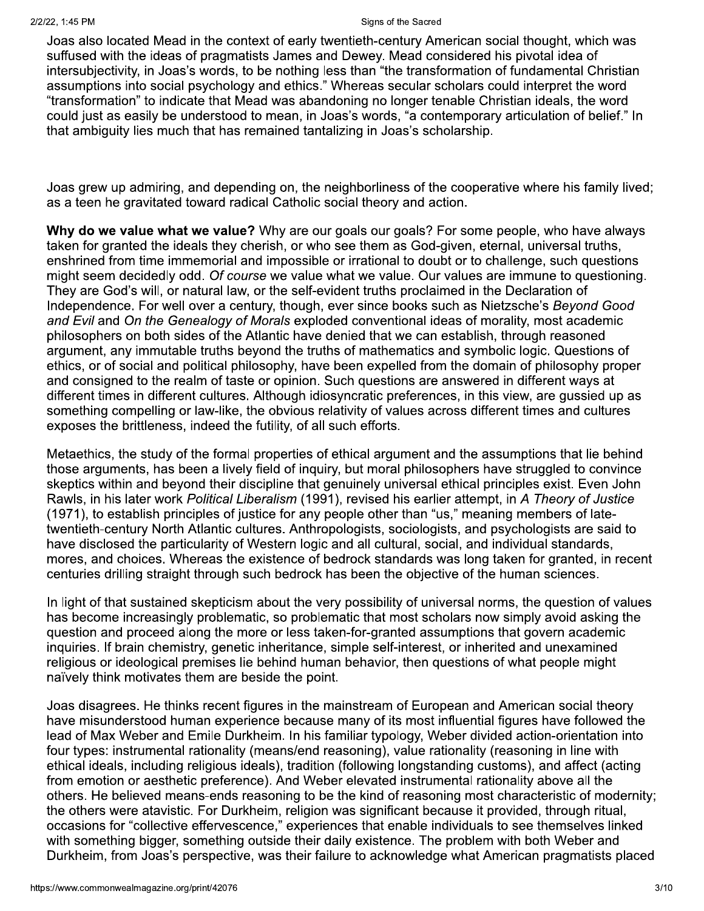Joas also located Mead in the context of early twentieth-century American social thought, which was suffused with the ideas of pragmatists James and Dewey. Mead considered his pivotal idea of intersubjectivity, in Joas's words, to be nothing less than "the transformation of fundamental Christian assumptions into social psychology and ethics." Whereas secular scholars could interpret the word "transformation" to indicate that Mead was abandoning no longer tenable Christian ideals, the word could just as easily be understood to mean, in Joas's words, "a contemporary articulation of belief." In that ambiquity lies much that has remained tantalizing in Joas's scholarship.

Joas grew up admiring, and depending on, the neighborliness of the cooperative where his family lived; as a teen he gravitated toward radical Catholic social theory and action.

Why do we value what we value? Why are our goals our goals? For some people, who have always taken for granted the ideals they cherish, or who see them as God-given, eternal, universal truths, enshrined from time immemorial and impossible or irrational to doubt or to challenge, such questions might seem decidedly odd. Of course we value what we value. Our values are immune to questioning. They are God's will, or natural law, or the self-evident truths proclaimed in the Declaration of Independence. For well over a century, though, ever since books such as Nietzsche's Beyond Good and Evil and On the Genealogy of Morals exploded conventional ideas of morality, most academic philosophers on both sides of the Atlantic have denied that we can establish, through reasoned argument, any immutable truths beyond the truths of mathematics and symbolic logic. Questions of ethics, or of social and political philosophy, have been expelled from the domain of philosophy proper and consigned to the realm of taste or opinion. Such questions are answered in different ways at different times in different cultures. Although idiosyncratic preferences, in this view, are gussied up as something compelling or law-like, the obvious relativity of values across different times and cultures exposes the brittleness, indeed the futility, of all such efforts.

Metaethics, the study of the formal properties of ethical argument and the assumptions that lie behind those arguments, has been a lively field of inguiry, but moral philosophers have struggled to convince skeptics within and beyond their discipline that genuinely universal ethical principles exist. Even John Rawls, in his later work Political Liberalism (1991), revised his earlier attempt, in A Theory of Justice (1971), to establish principles of justice for any people other than "us," meaning members of latetwentieth-century North Atlantic cultures. Anthropologists, sociologists, and psychologists are said to have disclosed the particularity of Western logic and all cultural, social, and individual standards, mores, and choices. Whereas the existence of bedrock standards was long taken for granted, in recent centuries drilling straight through such bedrock has been the objective of the human sciences.

In light of that sustained skepticism about the very possibility of universal norms, the question of values has become increasingly problematic, so problematic that most scholars now simply avoid asking the question and proceed along the more or less taken-for-granted assumptions that govern academic inguiries. If brain chemistry, genetic inheritance, simple self-interest, or inherited and unexamined religious or ideological premises lie behind human behavior, then questions of what people might naïvely think motivates them are beside the point.

Joas disagrees. He thinks recent figures in the mainstream of European and American social theory have misunderstood human experience because many of its most influential figures have followed the lead of Max Weber and Emile Durkheim. In his familiar typology, Weber divided action-orientation into four types: instrumental rationality (means/end reasoning), value rationality (reasoning in line with ethical ideals, including religious ideals), tradition (following longstanding customs), and affect (acting from emotion or aesthetic preference). And Weber elevated instrumental rationality above all the others. He believed means-ends reasoning to be the kind of reasoning most characteristic of modernity; the others were atavistic. For Durkheim, religion was significant because it provided, through ritual. occasions for "collective effervescence," experiences that enable individuals to see themselves linked with something bigger, something outside their daily existence. The problem with both Weber and Durkheim, from Joas's perspective, was their failure to acknowledge what American pragmatists placed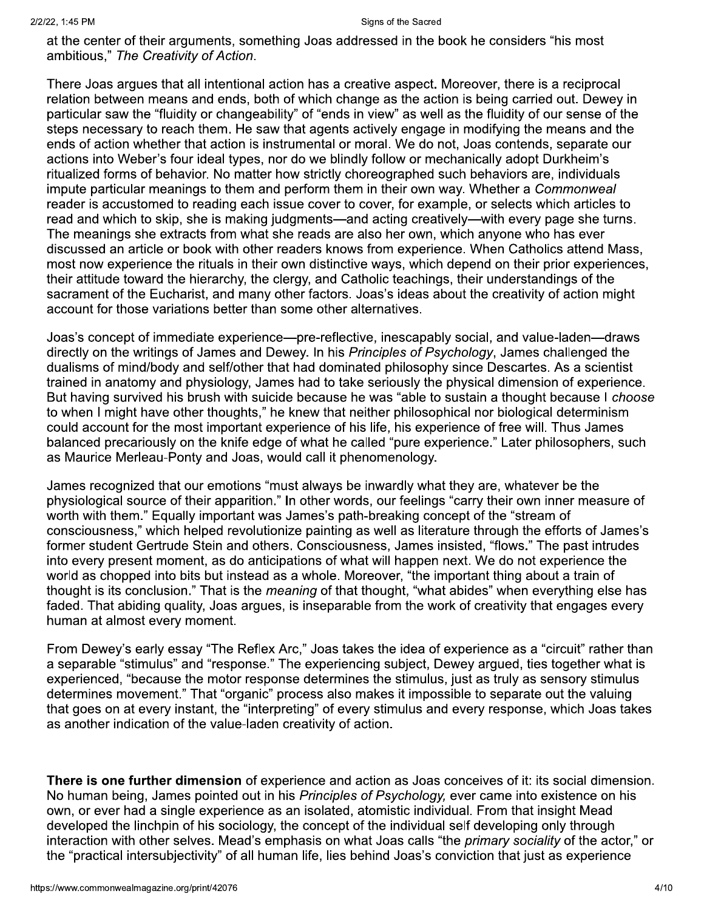at the center of their arguments, something Joas addressed in the book he considers "his most ambitious," The Creativity of Action.

There Joas argues that all intentional action has a creative aspect. Moreover, there is a reciprocal relation between means and ends, both of which change as the action is being carried out. Dewey in particular saw the "fluidity or changeability" of "ends in view" as well as the fluidity of our sense of the steps necessary to reach them. He saw that agents actively engage in modifying the means and the ends of action whether that action is instrumental or moral. We do not, Joas contends, separate our actions into Weber's four ideal types, nor do we blindly follow or mechanically adopt Durkheim's ritualized forms of behavior. No matter how strictly choreographed such behaviors are, individuals impute particular meanings to them and perform them in their own way. Whether a Commonweal reader is accustomed to reading each issue cover to cover, for example, or selects which articles to read and which to skip, she is making judgments—and acting creatively—with every page she turns. The meanings she extracts from what she reads are also her own, which anyone who has ever discussed an article or book with other readers knows from experience. When Catholics attend Mass, most now experience the rituals in their own distinctive ways, which depend on their prior experiences, their attitude toward the hierarchy, the clergy, and Catholic teachings, their understandings of the sacrament of the Eucharist, and many other factors. Joas's ideas about the creativity of action might account for those variations better than some other alternatives.

Joas's concept of immediate experience—pre-reflective, inescapably social, and value-laden—draws directly on the writings of James and Dewey. In his Principles of Psychology, James challenged the dualisms of mind/body and self/other that had dominated philosophy since Descartes. As a scientist trained in anatomy and physiology, James had to take seriously the physical dimension of experience. But having survived his brush with suicide because he was "able to sustain a thought because I choose to when I might have other thoughts," he knew that neither philosophical nor biological determinism could account for the most important experience of his life, his experience of free will. Thus James balanced precariously on the knife edge of what he called "pure experience." Later philosophers, such as Maurice Merleau-Ponty and Joas, would call it phenomenology.

James recognized that our emotions "must always be inwardly what they are, whatever be the physiological source of their apparition." In other words, our feelings "carry their own inner measure of worth with them." Equally important was James's path-breaking concept of the "stream of consciousness," which helped revolutionize painting as well as literature through the efforts of James's former student Gertrude Stein and others. Consciousness, James insisted, "flows." The past intrudes into every present moment, as do anticipations of what will happen next. We do not experience the world as chopped into bits but instead as a whole. Moreover, "the important thing about a train of thought is its conclusion." That is the *meaning* of that thought, "what abides" when everything else has faded. That abiding quality, Joas argues, is inseparable from the work of creativity that engages every human at almost every moment.

From Dewey's early essay "The Reflex Arc," Joas takes the idea of experience as a "circuit" rather than a separable "stimulus" and "response." The experiencing subject, Dewey argued, ties together what is experienced, "because the motor response determines the stimulus, just as truly as sensory stimulus determines movement." That "organic" process also makes it impossible to separate out the valuing that goes on at every instant, the "interpreting" of every stimulus and every response, which Joas takes as another indication of the value-laden creativity of action.

There is one further dimension of experience and action as Joas conceives of it: its social dimension. No human being, James pointed out in his Principles of Psychology, ever came into existence on his own, or ever had a single experience as an isolated, atomistic individual. From that insight Mead developed the linchpin of his sociology, the concept of the individual self developing only through interaction with other selves. Mead's emphasis on what Joas calls "the primary sociality of the actor," or the "practical intersubiectivity" of all human life, lies behind Joas's conviction that just as experience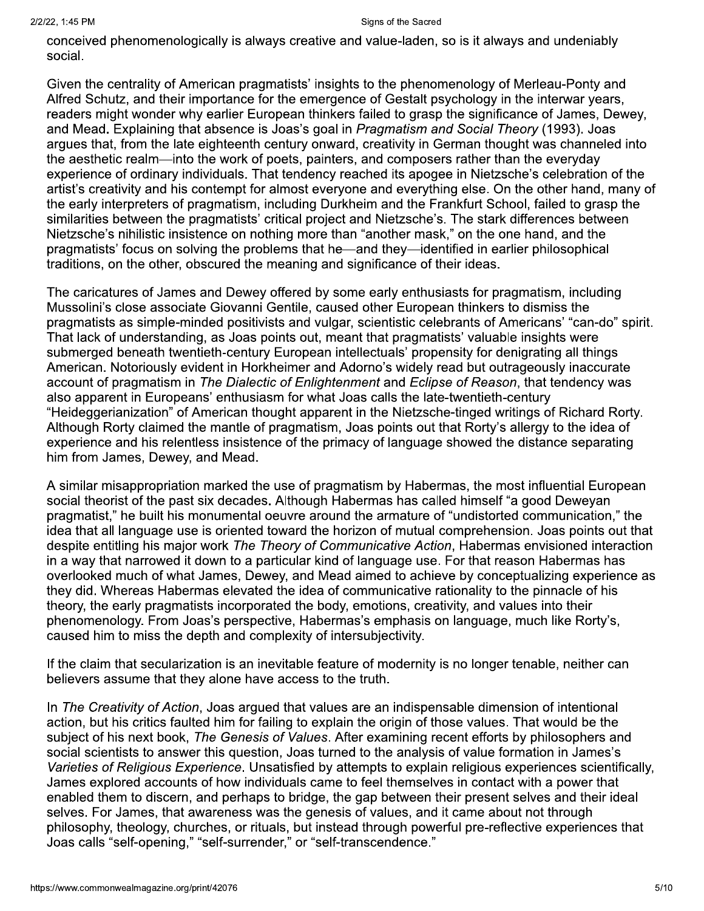conceived phenomenologically is always creative and value-laden, so is it always and undeniably social.

Given the centrality of American pragmatists' insights to the phenomenology of Merleau-Ponty and Alfred Schutz, and their importance for the emergence of Gestalt psychology in the interwar years, readers might wonder why earlier European thinkers failed to grasp the significance of James, Dewey, and Mead. Explaining that absence is Joas's goal in Pragmatism and Social Theory (1993). Joas argues that, from the late eighteenth century onward, creativity in German thought was channeled into the aesthetic realm—into the work of poets, painters, and composers rather than the everyday experience of ordinary individuals. That tendency reached its apogee in Nietzsche's celebration of the artist's creativity and his contempt for almost everyone and everything else. On the other hand, many of the early interpreters of pragmatism, including Durkheim and the Frankfurt School, failed to grasp the similarities between the pragmatists' critical project and Nietzsche's. The stark differences between Nietzsche's nihilistic insistence on nothing more than "another mask," on the one hand, and the pragmatists' focus on solving the problems that he—and they—identified in earlier philosophical traditions, on the other, obscured the meaning and significance of their ideas.

The caricatures of James and Dewey offered by some early enthusiasts for pragmatism, including Mussolini's close associate Giovanni Gentile, caused other European thinkers to dismiss the pragmatists as simple-minded positivists and vulgar, scientistic celebrants of Americans' "can-do" spirit. That lack of understanding, as Joas points out, meant that pragmatists' valuable insights were submerged beneath twentieth-century European intellectuals' propensity for denigrating all things American. Notoriously evident in Horkheimer and Adorno's widely read but outrageously inaccurate account of pragmatism in The Dialectic of Enlightenment and Eclipse of Reason, that tendency was also apparent in Europeans' enthusiasm for what Joas calls the late-twentieth-century "Heideggerianization" of American thought apparent in the Nietzsche-tinged writings of Richard Rorty. Although Rorty claimed the mantle of pragmatism, Joas points out that Rorty's allergy to the idea of experience and his relentless insistence of the primacy of language showed the distance separating him from James, Dewey, and Mead.

A similar misappropriation marked the use of pragmatism by Habermas, the most influential European social theorist of the past six decades. Although Habermas has called himself "a good Deweyan pragmatist," he built his monumental oeuvre around the armature of "undistorted communication," the idea that all language use is oriented toward the horizon of mutual comprehension. Joas points out that despite entitling his major work The Theory of Communicative Action, Habermas envisioned interaction in a way that narrowed it down to a particular kind of language use. For that reason Habermas has overlooked much of what James, Dewey, and Mead aimed to achieve by conceptualizing experience as they did. Whereas Habermas elevated the idea of communicative rationality to the pinnacle of his theory, the early pragmatists incorporated the body, emotions, creativity, and values into their phenomenology. From Joas's perspective, Habermas's emphasis on language, much like Rorty's, caused him to miss the depth and complexity of intersubjectivity.

If the claim that secularization is an inevitable feature of modernity is no longer tenable, neither can believers assume that they alone have access to the truth.

In The Creativity of Action, Joas argued that values are an indispensable dimension of intentional action, but his critics faulted him for failing to explain the origin of those values. That would be the subject of his next book, The Genesis of Values. After examining recent efforts by philosophers and social scientists to answer this question, Joas turned to the analysis of value formation in James's Varieties of Religious Experience. Unsatisfied by attempts to explain religious experiences scientifically, James explored accounts of how individuals came to feel themselves in contact with a power that enabled them to discern, and perhaps to bridge, the gap between their present selves and their ideal selves. For James, that awareness was the genesis of values, and it came about not through philosophy, theology, churches, or rituals, but instead through powerful pre-reflective experiences that Joas calls "self-opening," "self-surrender," or "self-transcendence."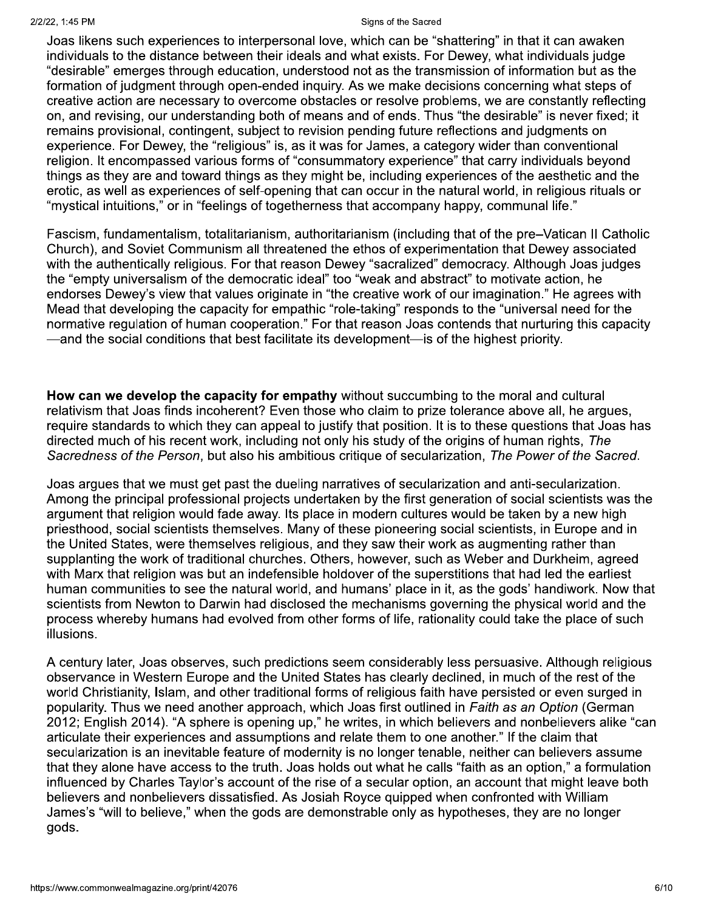Joas likens such experiences to interpersonal love, which can be "shattering" in that it can awaken individuals to the distance between their ideals and what exists. For Dewey, what individuals judge "desirable" emerges through education, understood not as the transmission of information but as the formation of judgment through open-ended inquiry. As we make decisions concerning what steps of creative action are necessary to overcome obstacles or resolve problems, we are constantly reflecting on, and revising, our understanding both of means and of ends. Thus "the desirable" is never fixed; it remains provisional, contingent, subject to revision pending future reflections and judgments on experience. For Dewey, the "religious" is, as it was for James, a category wider than conventional religion. It encompassed various forms of "consummatory experience" that carry individuals beyond things as they are and toward things as they might be, including experiences of the aesthetic and the erotic, as well as experiences of self-opening that can occur in the natural world, in religious rituals or "mystical intuitions," or in "feelings of togetherness that accompany happy, communal life."

Fascism, fundamentalism, totalitarianism, authoritarianism (including that of the pre-Vatican II Catholic Church), and Soviet Communism all threatened the ethos of experimentation that Dewey associated with the authentically religious. For that reason Dewey "sacralized" democracy. Although Joas judges the "empty universalism of the democratic ideal" too "weak and abstract" to motivate action, he endorses Dewey's view that values originate in "the creative work of our imagination." He agrees with Mead that developing the capacity for empathic "role-taking" responds to the "universal need for the normative regulation of human cooperation." For that reason Joas contends that nurturing this capacity —and the social conditions that best facilitate its development—is of the highest priority.

How can we develop the capacity for empathy without succumbing to the moral and cultural relativism that Joas finds incoherent? Even those who claim to prize tolerance above all, he argues, require standards to which they can appeal to justify that position. It is to these questions that Joas has directed much of his recent work, including not only his study of the origins of human rights, The Sacredness of the Person, but also his ambitious critique of secularization, The Power of the Sacred.

Joas argues that we must get past the dueling narratives of secularization and anti-secularization. Among the principal professional projects undertaken by the first generation of social scientists was the argument that religion would fade away. Its place in modern cultures would be taken by a new high priesthood, social scientists themselves. Many of these pioneering social scientists, in Europe and in the United States, were themselves religious, and they saw their work as augmenting rather than supplanting the work of traditional churches. Others, however, such as Weber and Durkheim, agreed with Marx that religion was but an indefensible holdover of the superstitions that had led the earliest human communities to see the natural world, and humans' place in it, as the gods' handiwork. Now that scientists from Newton to Darwin had disclosed the mechanisms governing the physical world and the process whereby humans had evolved from other forms of life, rationality could take the place of such illusions.

A century later, Joas observes, such predictions seem considerably less persuasive. Although religious observance in Western Europe and the United States has clearly declined, in much of the rest of the world Christianity, Islam, and other traditional forms of religious faith have persisted or even surged in popularity. Thus we need another approach, which Joas first outlined in *Faith as an Option* (German 2012; English 2014). "A sphere is opening up," he writes, in which believers and nonbelievers alike "can articulate their experiences and assumptions and relate them to one another." If the claim that secularization is an inevitable feature of modernity is no longer tenable, neither can believers assume that they alone have access to the truth. Joas holds out what he calls "faith as an option," a formulation influenced by Charles Taylor's account of the rise of a secular option, an account that might leave both believers and nonbelievers dissatisfied. As Josiah Royce quipped when confronted with William James's "will to believe," when the gods are demonstrable only as hypotheses, they are no longer gods.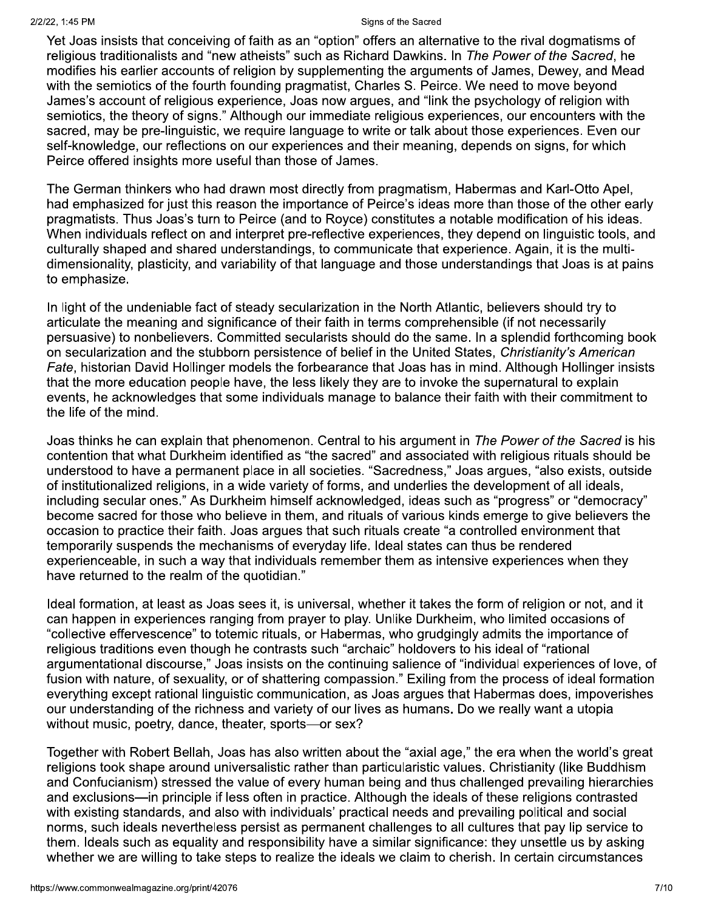Yet Joas insists that conceiving of faith as an "option" offers an alternative to the rival dogmatisms of religious traditionalists and "new atheists" such as Richard Dawkins. In The Power of the Sacred, he modifies his earlier accounts of religion by supplementing the arguments of James, Dewey, and Mead with the semiotics of the fourth founding pragmatist, Charles S. Peirce. We need to move beyond James's account of religious experience, Joas now argues, and "link the psychology of religion with semiotics, the theory of signs." Although our immediate religious experiences, our encounters with the sacred, may be pre-linguistic, we require language to write or talk about those experiences. Even our self-knowledge, our reflections on our experiences and their meaning, depends on signs, for which Peirce offered insights more useful than those of James.

The German thinkers who had drawn most directly from pragmatism, Habermas and Karl-Otto Apel, had emphasized for just this reason the importance of Peirce's ideas more than those of the other early pragmatists. Thus Joas's turn to Peirce (and to Royce) constitutes a notable modification of his ideas. When individuals reflect on and interpret pre-reflective experiences, they depend on linguistic tools, and culturally shaped and shared understandings, to communicate that experience. Again, it is the multidimensionality, plasticity, and variability of that language and those understandings that Joas is at pains to emphasize.

In light of the undeniable fact of steady secularization in the North Atlantic, believers should try to articulate the meaning and significance of their faith in terms comprehensible (if not necessarily persuasive) to nonbelievers. Committed secularists should do the same. In a splendid forthcoming book on secularization and the stubborn persistence of belief in the United States, Christianity's American Fate, historian David Hollinger models the forbearance that Joas has in mind. Although Hollinger insists that the more education people have, the less likely they are to invoke the supernatural to explain events, he acknowledges that some individuals manage to balance their faith with their commitment to the life of the mind.

Joas thinks he can explain that phenomenon. Central to his argument in The Power of the Sacred is his contention that what Durkheim identified as "the sacred" and associated with religious rituals should be understood to have a permanent place in all societies. "Sacredness," Joas arques, "also exists, outside of institutionalized religions, in a wide variety of forms, and underlies the development of all ideals, including secular ones." As Durkheim himself acknowledged, ideas such as "progress" or "democracy" become sacred for those who believe in them, and rituals of various kinds emerge to give believers the occasion to practice their faith. Joas argues that such rituals create "a controlled environment that temporarily suspends the mechanisms of everyday life. Ideal states can thus be rendered experienceable, in such a way that individuals remember them as intensive experiences when they have returned to the realm of the quotidian."

Ideal formation, at least as Joas sees it, is universal, whether it takes the form of religion or not, and it can happen in experiences ranging from prayer to play. Unlike Durkheim, who limited occasions of "collective effervescence" to totemic rituals, or Habermas, who grudgingly admits the importance of religious traditions even though he contrasts such "archaic" holdovers to his ideal of "rational argumentational discourse," Joas insists on the continuing salience of "individual experiences of love, of fusion with nature, of sexuality, or of shattering compassion." Exiling from the process of ideal formation everything except rational linguistic communication, as Joas argues that Habermas does, impoverishes our understanding of the richness and variety of our lives as humans. Do we really want a utopia without music, poetry, dance, theater, sports-or sex?

Together with Robert Bellah, Joas has also written about the "axial age," the era when the world's great religions took shape around universalistic rather than particularistic values. Christianity (like Buddhism and Confucianism) stressed the value of every human being and thus challenged prevailing hierarchies and exclusions—in principle if less often in practice. Although the ideals of these religions contrasted with existing standards, and also with individuals' practical needs and prevailing political and social norms, such ideals nevertheless persist as permanent challenges to all cultures that pay lip service to them. Ideals such as equality and responsibility have a similar significance: they unsettle us by asking whether we are willing to take steps to realize the ideals we claim to cherish. In certain circumstances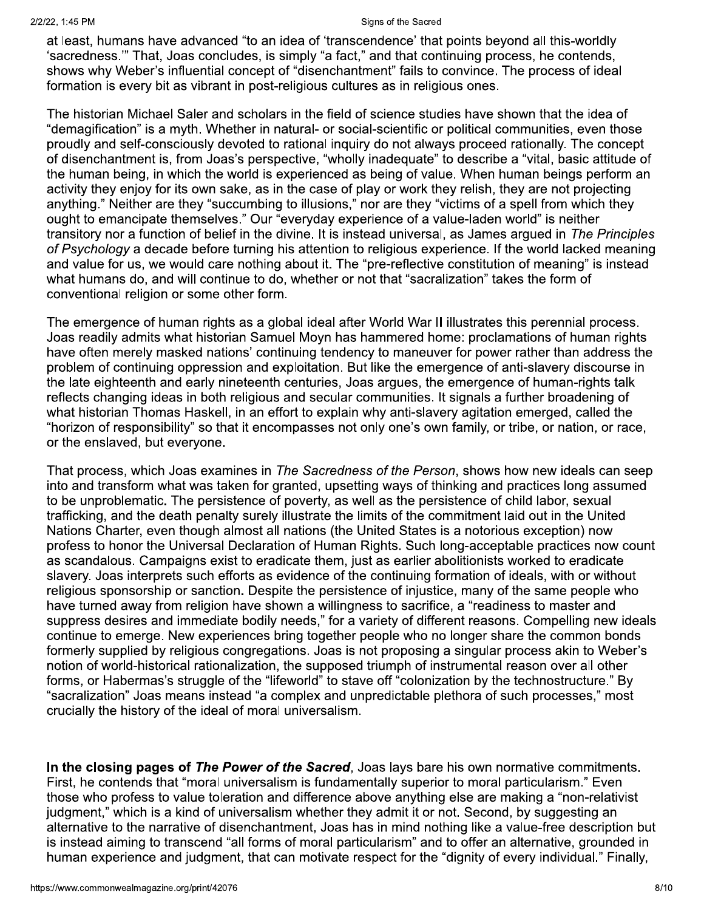at least, humans have advanced "to an idea of 'transcendence' that points beyond all this-worldly 'sacredness." That, Joas concludes, is simply "a fact," and that continuing process, he contends, shows why Weber's influential concept of "disenchantment" fails to convince. The process of ideal formation is every bit as vibrant in post-religious cultures as in religious ones.

The historian Michael Saler and scholars in the field of science studies have shown that the idea of "demagification" is a myth. Whether in natural- or social-scientific or political communities, even those proudly and self-consciously devoted to rational inquiry do not always proceed rationally. The concept of disenchantment is, from Joas's perspective, "wholly inadequate" to describe a "vital, basic attitude of the human being, in which the world is experienced as being of value. When human beings perform an activity they enjoy for its own sake, as in the case of play or work they relish, they are not projecting anything." Neither are they "succumbing to illusions," nor are they "victims of a spell from which they ought to emancipate themselves." Our "everyday experience of a value-laden world" is neither transitory nor a function of belief in the divine. It is instead universal, as James argued in The Principles of Psychology a decade before turning his attention to religious experience. If the world lacked meaning and value for us, we would care nothing about it. The "pre-reflective constitution of meaning" is instead what humans do, and will continue to do, whether or not that "sacralization" takes the form of conventional religion or some other form.

The emergence of human rights as a global ideal after World War II illustrates this perennial process. Joas readily admits what historian Samuel Moyn has hammered home: proclamations of human rights have often merely masked nations' continuing tendency to maneuver for power rather than address the problem of continuing oppression and exploitation. But like the emergence of anti-slavery discourse in the late eighteenth and early nineteenth centuries, Joas argues, the emergence of human-rights talk reflects changing ideas in both religious and secular communities. It signals a further broadening of what historian Thomas Haskell, in an effort to explain why anti-slavery agitation emerged, called the "horizon of responsibility" so that it encompasses not only one's own family, or tribe, or nation, or race, or the enslaved, but everyone.

That process, which Joas examines in The Sacredness of the Person, shows how new ideals can seep into and transform what was taken for granted, upsetting ways of thinking and practices long assumed to be unproblematic. The persistence of poverty, as well as the persistence of child labor, sexual trafficking, and the death penalty surely illustrate the limits of the commitment laid out in the United Nations Charter, even though almost all nations (the United States is a notorious exception) now profess to honor the Universal Declaration of Human Rights. Such long-acceptable practices now count as scandalous. Campaigns exist to eradicate them, just as earlier abolitionists worked to eradicate slavery. Joas interprets such efforts as evidence of the continuing formation of ideals, with or without religious sponsorship or sanction. Despite the persistence of injustice, many of the same people who have turned away from religion have shown a willingness to sacrifice, a "readiness to master and suppress desires and immediate bodily needs," for a variety of different reasons. Compelling new ideals continue to emerge. New experiences bring together people who no longer share the common bonds formerly supplied by religious congregations. Joas is not proposing a singular process akin to Weber's notion of world-historical rationalization, the supposed triumph of instrumental reason over all other forms, or Habermas's struggle of the "lifeworld" to stave off "colonization by the technostructure." By "sacralization" Joas means instead "a complex and unpredictable plethora of such processes," most crucially the history of the ideal of moral universalism.

In the closing pages of The Power of the Sacred, Joas lays bare his own normative commitments. First, he contends that "moral universalism is fundamentally superior to moral particularism." Even those who profess to value toleration and difference above anything else are making a "non-relativist judgment," which is a kind of universalism whether they admit it or not. Second, by suggesting an alternative to the narrative of disenchantment, Joas has in mind nothing like a value-free description but is instead aiming to transcend "all forms of moral particularism" and to offer an alternative, grounded in human experience and judgment, that can motivate respect for the "dignity of every individual." Finally,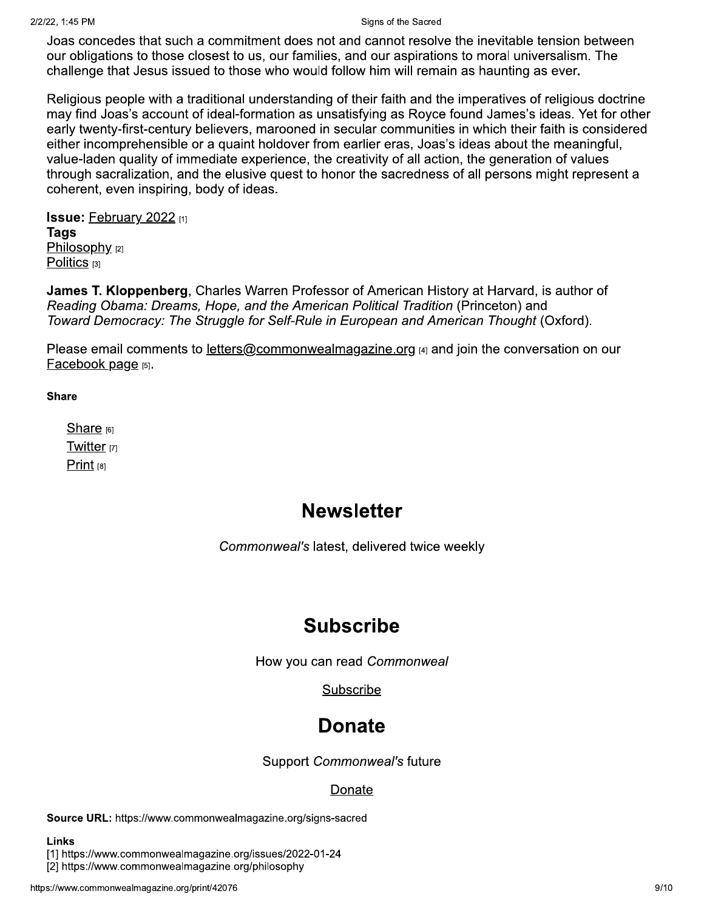Joas concedes that such a commitment does not and cannot resolve the inevitable tension between our obligations to those closest to us, our families, and our aspirations to moral universalism. The challenge that Jesus issued to those who would follow him will remain as haunting as ever.

Religious people with a traditional understanding of their faith and the imperatives of religious doctrine may find Joas's account of ideal-formation as unsatisfying as Royce found James's ideas. Yet for other early twenty-first-century believers, marooned in secular communities in which their faith is considered either incomprehensible or a quaint holdover from earlier eras, Joas's ideas about the meaningful, value-laden quality of immediate experience, the creativity of all action, the generation of values through sacralization, and the elusive quest to honor the sacredness of all persons might represent a coherent, even inspiring, body of ideas.

**Issue: February 2022 [1] Tags** Philosophy [2] Politics  $[3]$ 

James T. Kloppenberg, Charles Warren Professor of American History at Harvard, is author of Reading Obama: Dreams, Hope, and the American Political Tradition (Princeton) and Toward Democracy: The Struggle for Self-Rule in European and American Thought (Oxford).

Please email comments to letters@commonwealmagazine.org [4] and join the conversation on our Facebook page [5].

## **Share**

Share  $[6]$ Twitter<sub>[7]</sub> Print  $[8]$ 

## **Newsletter**

Commonweal's latest, delivered twice weekly

## **Subscribe**

How you can read Commonweal

Subscribe

# **Donate**

Support Commonweal's future

## Donate

Source URL: https://www.commonwealmagazine.org/signs-sacred

## **Links**

[1] https://www.commonwealmagazine.org/issues/2022-01-24

[2] https://www.commonwealmagazine.org/philosophy